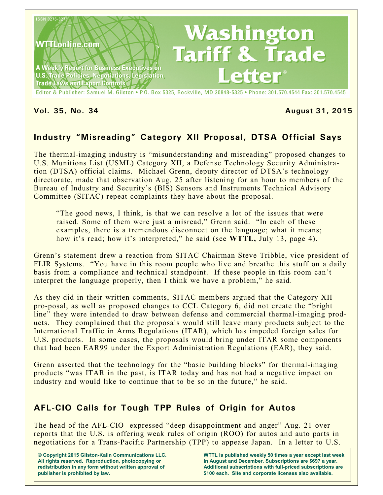

Editor & Publisher: Samuel M. Gilston . P.O. Box 5325, Rockville, MD 20848-5325 . Phone: 301.570.4544 Fax: 301.570.4545

#### **Vol. 35, No. 34 August 31, 2015**

# **Industry "Misreading" Category XII Proposal, DTSA Official Says**

The thermal-imaging industry is "misunderstanding and misreading" proposed changes to U.S. Munitions List (USML) Category XII, a Defense Technology Security Administration (DTSA) official claims. Michael Grenn, deputy director of DTSA's technology directorate, made that observation Aug. 25 after listening for an hour to members of the Bureau of Industry and Security's (BIS) Sensors and Instruments Technical Advisory Committee (SITAC) repeat complaints they have about the proposal.

"The good news, I think, is that we can resolve a lot of the issues that were raised. Some of them were just a misread," Grenn said. "In each of these examples, there is a tremendous disconnect on the language; what it means; how it's read; how it's interpreted," he said (see **WTTL,** July 13, page 4).

Grenn's statement drew a reaction from SITAC Chairman Steve Tribble, vice president of FLIR Systems. "You have in this room people who live and breathe this stuff on a daily basis from a compliance and technical standpoint. If these people in this room can't interpret the language properly, then I think we have a problem," he said.

As they did in their written comments, SITAC members argued that the Category XII pro-posal, as well as proposed changes to CCL Category 6, did not create the "bright line" they were intended to draw between defense and commercial thermal-imaging products. They complained that the proposals would still leave many products subject to the International Traffic in Arms Regulations (ITAR), which has impeded foreign sales for U.S. products. In some cases, the proposals would bring under ITAR some components that had been EAR99 under the Export Administration Regulations (EAR), they said.

Grenn asserted that the technology for the "basic building blocks" for thermal-imaging products "was ITAR in the past, is ITAR today and has not had a negative impact on industry and would like to continue that to be so in the future," he said.

## **AFL-CIO Calls for Tough TPP Rules of Origin for Autos**

The head of the AFL-CIO expressed "deep disappointment and anger" Aug. 21 over reports that the U.S. is offering weak rules of origin (ROO) for autos and auto parts in negotiations for a Trans-Pacific Partnership (TPP) to appease Japan. In a letter to U.S.

**© Copyright 2015 Gilston-Kalin Communications LLC. All rights reserved. Reproduction, photocopying or redistribution in any form without written approval of publisher is prohibited by law.** 

**WTTL is published weekly 50 times a year except last week in August and December. Subscriptions are \$697 a year. Additional subscriptions with full-priced subscriptions are \$100 each. Site and corporate licenses also available.**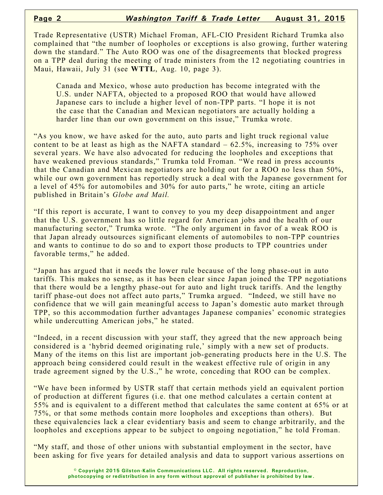Trade Representative (USTR) Michael Froman, AFL-CIO President Richard Trumka also complained that "the number of loopholes or exceptions is also growing, further watering down the standard." The Auto ROO was one of the disagreements that blocked progress on a TPP deal during the meeting of trade ministers from the 12 negotiating countries in Maui, Hawaii, July 31 (see **WTTL**, Aug. 10, page 3).

Canada and Mexico, whose auto production has become integrated with the U.S. under NAFTA, objected to a proposed ROO that would have allowed Japanese cars to include a higher level of non-TPP parts. "I hope it is not the case that the Canadian and Mexican negotiators are actually holding a harder line than our own government on this issue," Trumka wrote.

"As you know, we have asked for the auto, auto parts and light truck regional value content to be at least as high as the NAFTA standard  $-62.5\%$ , increasing to 75% over several years. We have also advocated for reducing the loopholes and exceptions that have weakened previous standards," Trumka told Froman. "We read in press accounts that the Canadian and Mexican negotiators are holding out for a ROO no less than 50%, while our own government has reportedly struck a deal with the Japanese government for a level of 45% for automobiles and 30% for auto parts," he wrote, citing an article published in Britain's *Globe and Mail.*

"If this report is accurate, I want to convey to you my deep disappointment and anger that the U.S. government has so little regard for American jobs and the health of our manufacturing sector," Trumka wrote. "The only argument in favor of a weak ROO is that Japan already outsources significant elements of automobiles to non-TPP countries and wants to continue to do so and to export those products to TPP countries under favorable terms," he added.

"Japan has argued that it needs the lower rule because of the long phase-out in auto tariffs. This makes no sense, as it has been clear since Japan joined the TPP negotiations that there would be a lengthy phase-out for auto and light truck tariffs. And the lengthy tariff phase-out does not affect auto parts," Trumka argued. "Indeed, we still have no confidence that we will gain meaningful access to Japan's domestic auto market through TPP, so this accommodation further advantages Japanese companies' economic strategies while undercutting American jobs," he stated.

"Indeed, in a recent discussion with your staff, they agreed that the new approach being considered is a 'hybrid deemed originating rule,' simply with a new set of products. Many of the items on this list are important job-generating products here in the U.S. The approach being considered could result in the weakest effective rule of origin in any trade agreement signed by the U.S.," he wrote, conceding that ROO can be complex.

"We have been informed by USTR staff that certain methods yield an equivalent portion of production at different figures (i.e. that one method calculates a certain content at 55% and is equivalent to a different method that calculates the same content at 65% or at 75%, or that some methods contain more loopholes and exceptions than others). But these equivalencies lack a clear evidentiary basis and seem to change arbitrarily, and the loopholes and exceptions appear to be subject to ongoing negotiation," he told Froman.

"My staff, and those of other unions with substantial employment in the sector, have been asking for five years for detailed analysis and data to support various assertions on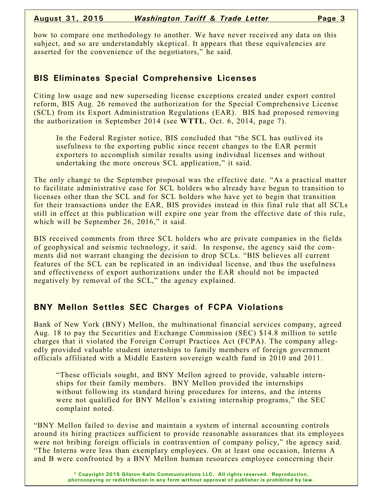how to compare one methodology to another. We have never received any data on this subject, and so are understandably skeptical. It appears that these equivalencies are asserted for the convenience of the negotiators," he said.

#### **BIS Eliminates Special Comprehensive Licenses**

Citing low usage and new superseding license exceptions created under export control reform, BIS Aug. 26 removed the authorization for the Special Comprehensive License (SCL) from its Export Administration Regulations (EAR). BIS had proposed removing the authorization in September 2014 (see **WTTL**, Oct. 6, 2014, page 7).

In the Federal Register notice, BIS concluded that "the SCL has outlived its usefulness to the exporting public since recent changes to the EAR permit exporters to accomplish similar results using individual licenses and without undertaking the more onerous SCL application," it said.

The only change to the September proposal was the effective date. "As a practical matter to facilitate administrative ease for SCL holders who already have begun to transition to licenses other than the SCL and for SCL holders who have yet to begin that transition for their transactions under the EAR, BIS provides instead in this final rule that all SCLs still in effect at this publication will expire one year from the effective date of this rule, which will be September 26, 2016," it said.

BIS received comments from three SCL holders who are private companies in the fields of geophysical and seismic technology, it said. In response, the agency said the comments did not warrant changing the decision to drop SCLs. "BIS believes all current features of the SCL can be replicated in an individual license, and thus the usefulness and effectiveness of export authorizations under the EAR should not be impacted negatively by removal of the SCL," the agency explained.

## **BNY Mellon Settles SEC Charges of FCPA Violations**

Bank of New York (BNY) Mellon, the multinational financial services company, agreed Aug. 18 to pay the Securities and Exchange Commission (SEC) \$14.8 million to settle charges that it violated the Foreign Corrupt Practices Act (FCPA). The company allegedly provided valuable student internships to family members of foreign government officials affiliated with a Middle Eastern sovereign wealth fund in 2010 and 2011.

"These officials sought, and BNY Mellon agreed to provide, valuable internships for their family members. BNY Mellon provided the internships without following its standard hiring procedures for interns, and the interns were not qualified for BNY Mellon's existing internship programs," the SEC complaint noted.

"BNY Mellon failed to devise and maintain a system of internal accounting controls around its hiring practices sufficient to provide reasonable assurances that its employees were not bribing foreign officials in contravention of company policy," the agency said. "The Interns were less than exemplary employees. On at least one occasion, Interns A and B were confronted by a BNY Mellon human resources employee concerning their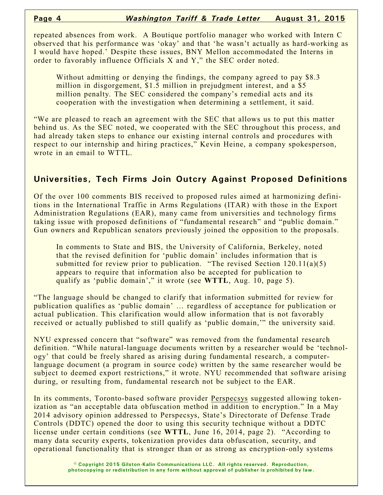repeated absences from work. A Boutique portfolio manager who worked with Intern C observed that his performance was 'okay' and that 'he wasn't actually as hard-working as I would have hoped.' Despite these issues, BNY Mellon accommodated the Interns in order to favorably influence Officials X and Y," the SEC order noted.

Without admitting or denying the findings, the company agreed to pay \$8.3 million in disgorgement, \$1.5 million in prejudgment interest, and a \$5 million penalty. The SEC considered the company's remedial acts and its cooperation with the investigation when determining a settlement, it said.

"We are pleased to reach an agreement with the SEC that allows us to put this matter behind us. As the SEC noted, we cooperated with the SEC throughout this process, and had already taken steps to enhance our existing internal controls and procedures with respect to our internship and hiring practices," Kevin Heine, a company spokesperson, wrote in an email to WTTL.

## **Universities, Tech Firms Join Outcry Against Proposed Definitions**

Of the over 100 comments BIS received to proposed rules aimed at harmonizing definitions in the International Traffic in Arms Regulations (ITAR) with those in the Export Administration Regulations (EAR), many came from universities and technology firms taking issue with proposed definitions of "fundamental research" and "public domain." Gun owners and Republican senators previously joined the opposition to the proposals.

In comments to State and BIS, the University of California, Berkeley, noted that the revised definition for 'public domain' includes information that is submitted for review prior to publication. "The revised Section 120.11(a)(5) appears to require that information also be accepted for publication to qualify as 'public domain'," it wrote (see **WTTL**, Aug. 10, page 5).

"The language should be changed to clarify that information submitted for review for publication qualifies as 'public domain' … regardless of acceptance for publication or actual publication. This clarification would allow information that is not favorably received or actually published to still qualify as 'public domain,'" the university said.

NYU expressed concern that "software" was removed from the fundamental research definition. "While natural-language documents written by a researcher would be 'technology' that could be freely shared as arising during fundamental research, a computerlanguage document (a program in source code) written by the same researcher would be subject to deemed export restrictions," it wrote. NYU recommended that software arising during, or resulting from, fundamental research not be subject to the EAR.

In its comments, Toronto-based software provider Perspecsys suggested allowing tokenization as "an acceptable data obfuscation method in addition to encryption." In a May 2014 advisory opinion addressed to Perspecsys, State's Directorate of Defense Trade Controls (DDTC) opened the door to using this security technique without a DDTC license under certain conditions (see **WTTL**, June 16, 2014, page 2). "According to many data security experts, tokenization provides data obfuscation, security, and operational functionality that is stronger than or as strong as encryption-only systems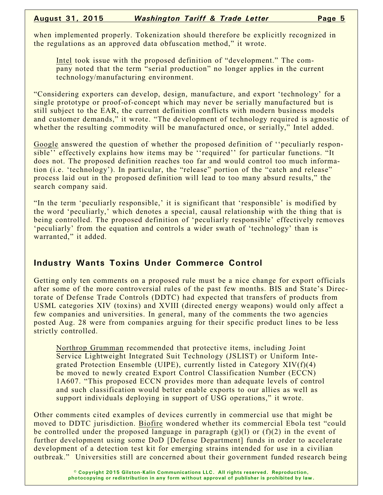when implemented properly. Tokenization should therefore be explicitly recognized in the regulations as an approved data obfuscation method," it wrote.

Intel took issue with the proposed definition of "development." The company noted that the term "serial production" no longer applies in the current technology/manufacturing environment.

"Considering exporters can develop, design, manufacture, and export 'technology' for a single prototype or proof-of-concept which may never be serially manufactured but is still subject to the EAR, the current definition conflicts with modern business models and customer demands," it wrote. "The development of technology required is agnostic of whether the resulting commodity will be manufactured once, or serially," Intel added.

Google answered the question of whether the proposed definition of ''peculiarly responsible'' effectively explains how items may be ''required'' for particular functions. "It does not. The proposed definition reaches too far and would control too much information (i.e. 'technology'). In particular, the "release" portion of the "catch and release" process laid out in the proposed definition will lead to too many absurd results," the search company said.

"In the term 'peculiarly responsible,' it is significant that 'responsible' is modified by the word 'peculiarly,' which denotes a special, causal relationship with the thing that is being controlled. The proposed definition of 'peculiarly responsible' effectively removes 'peculiarly' from the equation and controls a wider swath of 'technology' than is warranted," it added.

## **Industry Wants Toxins Under Commerce Control**

Getting only ten comments on a proposed rule must be a nice change for export officials after some of the more controversial rules of the past few months. BIS and State's Directorate of Defense Trade Controls (DDTC) had expected that transfers of products from USML categories XIV (toxins) and XVIII (directed energy weapons) would only affect a few companies and universities. In general, many of the comments the two agencies posted Aug. 28 were from companies arguing for their specific product lines to be less strictly controlled.

Northrop Grumman recommended that protective items, including Joint Service Lightweight Integrated Suit Technology (JSLIST) or Uniform Integrated Protection Ensemble (UIPE), currently listed in Category XIV(f)(4) be moved to newly created Export Control Classification Number (ECCN) 1A607. "This proposed ECCN provides more than adequate levels of control and such classification would better enable exports to our allies as well as support individuals deploying in support of USG operations," it wrote.

Other comments cited examples of devices currently in commercial use that might be moved to DDTC jurisdiction. Biofire wondered whether its commercial Ebola test "could be controlled under the proposed language in paragraph  $(g)(1)$  or  $(f)(2)$  in the event of further development using some DoD [Defense Department] funds in order to accelerate development of a detection test kit for emerging strains intended for use in a civilian outbreak." Universities still are concerned about their government funded research being

> **© Copyright 2015 Gilston-Kalin Communications LLC. All rights reserved. Reproduction, photocopying or redistribution in any form without approval of publisher is prohibited by law.**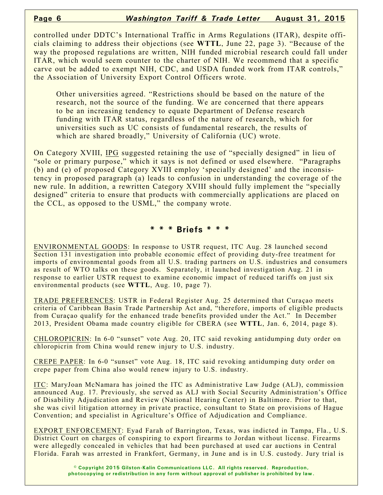controlled under DDTC's International Traffic in Arms Regulations (ITAR), despite officials claiming to address their objections (see **WTTL**, June 22, page 3). "Because of the way the proposed regulations are written, NIH funded microbial research could fall under ITAR, which would seem counter to the charter of NIH. We recommend that a specific carve out be added to exempt NIH, CDC, and USDA funded work from ITAR controls," the Association of University Export Control Officers wrote.

Other universities agreed. "Restrictions should be based on the nature of the research, not the source of the funding. We are concerned that there appears to be an increasing tendency to equate Department of Defense research funding with ITAR status, regardless of the nature of research, which for universities such as UC consists of fundamental research, the results of which are shared broadly," University of California (UC) wrote.

On Category XVIII, IPG suggested retaining the use of "specially designed" in lieu of "sole or primary purpose," which it says is not defined or used elsewhere. "Paragraphs (b) and (e) of proposed Category XVIII employ 'specially designed' and the inconsistency in proposed paragraph (a) leads to confusion in understanding the coverage of the new rule. In addition, a rewritten Category XVIII should fully implement the "specially designed" criteria to ensure that products with commercially applications are placed on the CCL, as opposed to the USML," the company wrote.

#### **\* \* \* Briefs \* \* \***

ENVIRONMENTAL GOODS: In response to USTR request, ITC Aug. 28 launched second Section 131 investigation into probable economic effect of providing duty-free treatment for imports of environmental goods from all U.S. trading partners on U.S. industries and consumers as result of WTO talks on these goods. Separately, it launched investigation Aug. 21 in response to earlier USTR request to examine economic impact of reduced tariffs on just six environmental products (see **WTTL**, Aug. 10, page 7).

TRADE PREFERENCES: USTR in Federal Register Aug. 25 determined that Curaçao meets criteria of Caribbean Basin Trade Partnership Act and, "therefore, imports of eligible products from Curaçao qualify for the enhanced trade benefits provided under the Act." In December 2013, President Obama made country eligible for CBERA (see **WTTL**, Jan. 6, 2014, page 8).

CHLOROPICRIN: In 6-0 "sunset" vote Aug. 20, ITC said revoking antidumping duty order on chloropicrin from China would renew injury to U.S. industry.

CREPE PAPER: In 6-0 "sunset" vote Aug. 18, ITC said revoking antidumping duty order on crepe paper from China also would renew injury to U.S. industry.

ITC: MaryJoan McNamara has joined the ITC as Administrative Law Judge (ALJ), commission announced Aug. 17. Previously, she served as ALJ with Social Security Administration's Office of Disability Adjudication and Review (National Hearing Center) in Baltimore. Prior to that, she was civil litigation attorney in private practice, consultant to State on provisions of Hague Convention; and specialist in Agriculture's Office of Adjudication and Compliance.

EXPORT ENFORCEMENT: Eyad Farah of Barrington, Texas, was indicted in Tampa, Fla., U.S. District Court on charges of conspiring to export firearms to Jordan without license. Firearms were allegedly concealed in vehicles that had been purchased at used car auctions in Central Florida. Farah was arrested in Frankfort, Germany, in June and is in U.S. custody. Jury trial is

> **© Copyright 2015 Gilston-Kalin Communications LLC. All rights reserved. Reproduction, photocopying or redistribution in any form without approval of publisher is prohibited by law.**